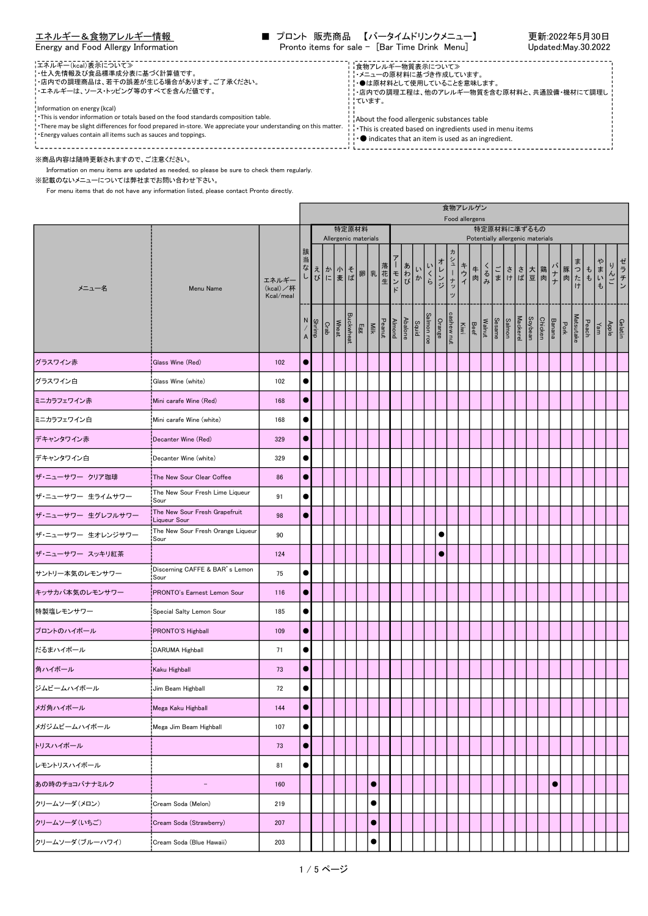|  |  | Energy and Food Allergy Information |
|--|--|-------------------------------------|

| エネルギー&食物アレルギー情報                     | ■ プロント 販売商品 【バータイムドリンクメニュー】                   | 更新:2022年5月30日       |
|-------------------------------------|-----------------------------------------------|---------------------|
| Energy and Food Allergy Information | Pronto items for sale - [Bar Time Drink Menu] | Updated:May.30.2022 |

<u> - - - - - - - - - - -</u> エネルギー(kcal)表示について≫ ・仕入先情報及び食品標準成分表に基づく計算値です。 食物アレルギー物質表示について≫ ・メニューの原材料に基づき作成しています。 ・店内での調理商品は、若干の誤差が生じる場合があります。ご了承ください。 ・●は原材料として使用していることを意味します。 ・エネルギーは、ソース・トッピング等のすべてを含んだ値です。 ・店内での調理工程は、他のアレルギー物質を含む原材料と、共通設備・機材にて調理し - ……<br>|ています。 Information on energy (kcal) ・This is vendor information or totals based on the food standards composition table. About the food allergenic substances table ・There may be slight differences for food prepared in-store. We appreciate your understanding on this matter. ・This is created based on ingredients used in menu items ・Energy values contain all items such as sauces and toppings. **. ●** indicates that an item is used as an ingredient. ※商品内容は随時更新されますので、ご注意ください。

Information on menu items are updated as needed, so please be sure to check them regularly.

※記載のないメニューについては弊社までお問い合わせ下さい。

|                   |                                               |                                |                     |        |      |       |                  |                                                                    |           |                          |                     |         |    |                     |                              |                 | 食物アレルゲン<br>Food allergens |       |                                                                             |  |                                                 |         |                |               |                                          |                  |                                             |          |                                     |  |
|-------------------|-----------------------------------------------|--------------------------------|---------------------|--------|------|-------|------------------|--------------------------------------------------------------------|-----------|--------------------------|---------------------|---------|----|---------------------|------------------------------|-----------------|---------------------------|-------|-----------------------------------------------------------------------------|--|-------------------------------------------------|---------|----------------|---------------|------------------------------------------|------------------|---------------------------------------------|----------|-------------------------------------|--|
|                   |                                               |                                |                     |        |      |       |                  | 特定原材料<br>Allergenic materials                                      |           |                          |                     |         |    |                     |                              |                 |                           |       |                                                                             |  | 特定原材料に準ずるもの<br>Potentially allergenic materials |         |                |               |                                          |                  |                                             |          |                                     |  |
| メニュー名             | Menu Name                                     | エネルギー<br>(kcal)/杯<br>Kcal/meal | 該<br>当<br>なし        |        |      |       |                  | えか 小 そ 卵 乳<br>び に 麦 ば ア 乳 生                                        |           |                          | $\mathbf{I}$<br>モンド | あわび     | いか | いくら                 | オレンジ                         | ヵ<br>シューナッ<br>ッ | キウィ                       | $#$ 肉 | くるみ                                                                         |  | ごささ大 鶏<br>まけば豆肉                                 |         |                |               | バナナ<br>ナト<br>ナト<br>オ<br>オ<br>オ<br>オ<br>オ | ₹                | $\begin{vmatrix} 1 \\ 1 \\ 0 \end{vmatrix}$ | ゃ<br>まいも | ゼ<br>ニラチン<br>んご                     |  |
|                   |                                               |                                | N<br>$\overline{A}$ | Shrimp | Crab | Wheat | <b>Buckwheat</b> | $\begin{array}{c} \mathbb{E} \mathbb{E} \\ \mathbb{E} \end{array}$ |           | Almond<br>Peanut<br>Milk |                     | Abalone |    | Salmon roe<br>Squid | Kiwi<br>cashew nut<br>Orange |                 |                           |       | $\frac{\text{Salmon}}{\text{Nearmel}}$ $\frac{\text{Neasmel}}{\text{Beef}}$ |  | <b>Mackerel</b>                                 | Soybean | <b>Chicken</b> | <b>Banana</b> | Pork                                     | <b>Matsutake</b> |                                             |          | $\frac{\text{Gelat}}{\text{Apple}}$ |  |
| グラスワイン赤           | <b>Glass Wine (Red)</b>                       | 102                            | $\bullet$           |        |      |       |                  |                                                                    |           |                          |                     |         |    |                     |                              |                 |                           |       |                                                                             |  |                                                 |         |                |               |                                          |                  |                                             |          |                                     |  |
| グラスワイン白           | Glass Wine (white)                            | 102                            |                     |        |      |       |                  |                                                                    |           |                          |                     |         |    |                     |                              |                 |                           |       |                                                                             |  |                                                 |         |                |               |                                          |                  |                                             |          |                                     |  |
| ミニカラフェワイン赤        | Mini carafe Wine (Red)                        | 168                            | $\bullet$           |        |      |       |                  |                                                                    |           |                          |                     |         |    |                     |                              |                 |                           |       |                                                                             |  |                                                 |         |                |               |                                          |                  |                                             |          |                                     |  |
| ミニカラフェワイン白        | Mini carafe Wine (white)                      | 168                            | $\bullet$           |        |      |       |                  |                                                                    |           |                          |                     |         |    |                     |                              |                 |                           |       |                                                                             |  |                                                 |         |                |               |                                          |                  |                                             |          |                                     |  |
| デキャンタワイン赤         | Decanter Wine (Red)                           | 329                            | $\bullet$           |        |      |       |                  |                                                                    |           |                          |                     |         |    |                     |                              |                 |                           |       |                                                                             |  |                                                 |         |                |               |                                          |                  |                                             |          |                                     |  |
| デキャンタワイン白         | Decanter Wine (white)                         | 329                            | $\bullet$           |        |      |       |                  |                                                                    |           |                          |                     |         |    |                     |                              |                 |                           |       |                                                                             |  |                                                 |         |                |               |                                          |                  |                                             |          |                                     |  |
| ザ・ニューサワー クリア珈琲    | The New Sour Clear Coffee                     | 86                             | $\bullet$           |        |      |       |                  |                                                                    |           |                          |                     |         |    |                     |                              |                 |                           |       |                                                                             |  |                                                 |         |                |               |                                          |                  |                                             |          |                                     |  |
| ザ・ニューサワー 生ライムサワー  | The New Sour Fresh Lime Liqueur<br>!Sour      | 91                             | $\bullet$           |        |      |       |                  |                                                                    |           |                          |                     |         |    |                     |                              |                 |                           |       |                                                                             |  |                                                 |         |                |               |                                          |                  |                                             |          |                                     |  |
| ザ・ニューサワー 生グレフルサワー | The New Sour Fresh Grapefruit<br>Liqueur Sour | 98                             | $\bullet$           |        |      |       |                  |                                                                    |           |                          |                     |         |    |                     |                              |                 |                           |       |                                                                             |  |                                                 |         |                |               |                                          |                  |                                             |          |                                     |  |
| ザ・ニューサワー 生オレンジサワー | The New Sour Fresh Orange Liqueur<br>Sour     | 90                             |                     |        |      |       |                  |                                                                    |           |                          |                     |         |    |                     | $\bullet$                    |                 |                           |       |                                                                             |  |                                                 |         |                |               |                                          |                  |                                             |          |                                     |  |
| ザ・ニューサワー スッキリ紅茶   |                                               | 124                            |                     |        |      |       |                  |                                                                    |           |                          |                     |         |    |                     | $\bullet$                    |                 |                           |       |                                                                             |  |                                                 |         |                |               |                                          |                  |                                             |          |                                     |  |
| サントリー本気のレモンサワー    | Discerning CAFFE & BAR's Lemon<br>Sour        | 75                             | $\bullet$           |        |      |       |                  |                                                                    |           |                          |                     |         |    |                     |                              |                 |                           |       |                                                                             |  |                                                 |         |                |               |                                          |                  |                                             |          |                                     |  |
| キッサカバ本気のレモンサワー    | PRONTO's Earnest Lemon Sour                   | 116                            | $\bullet$           |        |      |       |                  |                                                                    |           |                          |                     |         |    |                     |                              |                 |                           |       |                                                                             |  |                                                 |         |                |               |                                          |                  |                                             |          |                                     |  |
| 特製塩レモンサワー         | Special Salty Lemon Sour                      | 185                            | $\bullet$           |        |      |       |                  |                                                                    |           |                          |                     |         |    |                     |                              |                 |                           |       |                                                                             |  |                                                 |         |                |               |                                          |                  |                                             |          |                                     |  |
| プロントのハイボール        | PRONTO'S Highball                             | 109                            | $\bullet$           |        |      |       |                  |                                                                    |           |                          |                     |         |    |                     |                              |                 |                           |       |                                                                             |  |                                                 |         |                |               |                                          |                  |                                             |          |                                     |  |
| だるまハイボール          | DARUMA Highball                               | 71                             | $\bullet$           |        |      |       |                  |                                                                    |           |                          |                     |         |    |                     |                              |                 |                           |       |                                                                             |  |                                                 |         |                |               |                                          |                  |                                             |          |                                     |  |
| 角ハイボール            | Kaku Highball                                 | 73                             | $\bullet$           |        |      |       |                  |                                                                    |           |                          |                     |         |    |                     |                              |                 |                           |       |                                                                             |  |                                                 |         |                |               |                                          |                  |                                             |          |                                     |  |
| ジムビームハイボール        | Jim Beam Highball                             | 72                             | $\bullet$           |        |      |       |                  |                                                                    |           |                          |                     |         |    |                     |                              |                 |                           |       |                                                                             |  |                                                 |         |                |               |                                          |                  |                                             |          |                                     |  |
| メガ角ハイボール          | Mega Kaku Highball                            | 144                            | $\bullet$           |        |      |       |                  |                                                                    |           |                          |                     |         |    |                     |                              |                 |                           |       |                                                                             |  |                                                 |         |                |               |                                          |                  |                                             |          |                                     |  |
| メガジムビームハイボール      | Mega Jim Beam Highball                        | 107                            | $\bullet$           |        |      |       |                  |                                                                    |           |                          |                     |         |    |                     |                              |                 |                           |       |                                                                             |  |                                                 |         |                |               |                                          |                  |                                             |          |                                     |  |
| トリスハイボール          |                                               | 73                             | $\bullet$           |        |      |       |                  |                                                                    |           |                          |                     |         |    |                     |                              |                 |                           |       |                                                                             |  |                                                 |         |                |               |                                          |                  |                                             |          |                                     |  |
| レモントリスハイボール       |                                               | 81                             | $\bullet$           |        |      |       |                  |                                                                    |           |                          |                     |         |    |                     |                              |                 |                           |       |                                                                             |  |                                                 |         |                |               |                                          |                  |                                             |          |                                     |  |
| あの時のチョコバナナミルク     | $\overline{\phantom{a}}$                      | 160                            |                     |        |      |       |                  |                                                                    | $\bullet$ |                          |                     |         |    |                     |                              |                 |                           |       |                                                                             |  |                                                 |         |                | $\bullet$     |                                          |                  |                                             |          |                                     |  |
| クリームソーダ(メロン)      | Cream Soda (Melon)                            | 219                            |                     |        |      |       |                  |                                                                    | $\bullet$ |                          |                     |         |    |                     |                              |                 |                           |       |                                                                             |  |                                                 |         |                |               |                                          |                  |                                             |          |                                     |  |
| クリームソーダ(いちご)      | Cream Soda (Strawberry)                       | 207                            |                     |        |      |       |                  |                                                                    | $\bullet$ |                          |                     |         |    |                     |                              |                 |                           |       |                                                                             |  |                                                 |         |                |               |                                          |                  |                                             |          |                                     |  |
| クリームソーダ(ブルーハワイ)   | Cream Soda (Blue Hawaii)                      | 203                            |                     |        |      |       |                  |                                                                    | $\bullet$ |                          |                     |         |    |                     |                              |                 |                           |       |                                                                             |  |                                                 |         |                |               |                                          |                  |                                             |          |                                     |  |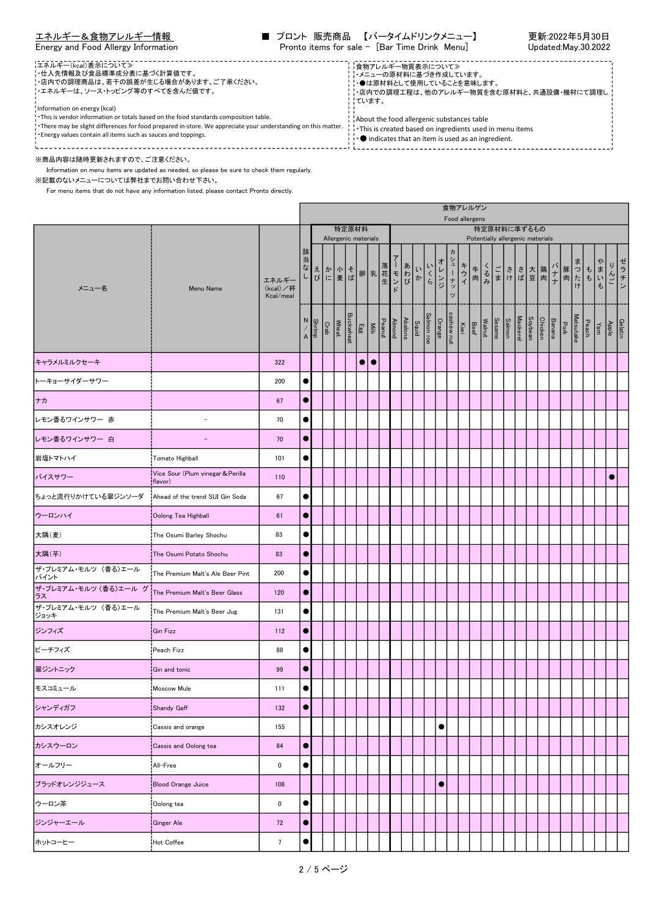|  |  | Energy and Food Allergy Information |
|--|--|-------------------------------------|
|  |  |                                     |

| エネルギー&食物アレルギー情報                     |  | ■ プロント 販売商品 【バータイムドリンクメニュー】                   | 更新:2022年5月30日       |
|-------------------------------------|--|-----------------------------------------------|---------------------|
| Energy and Food Allergy Information |  | Pronto items for sale - [Bar Time Drink Menu] | Updated:May.30.2022 |

| - エネルギー(kcal)表示について≫<br>- 仕入先情報及び食品標準成分表に基づく計算値です。<br>- - 店内での調理商品は、若干の誤差が生じる場合があります。ご了承ください。<br>'・エネルギーは、ソース・トッピング等のすべてを含んだ値です。<br>Information on energy (kcal)<br>. This is vendor information or totals based on the food standards composition table.<br>. There may be slight differences for food prepared in-store. We appreciate your understanding on this matter.<br>! Energy values contain all items such as sauces and toppings. | ■食物アレルギー物質表示について≫<br>−・メニューの原材料に基づき作成しています。<br>⊹●は原材料として使用していることを意味します。<br><b>¦・店内での調理工程は、他のアレルギー物質を含む原材料と、共通設備・機材にて調理し!</b><br>¦¦ています。<br>About the food allergenic substances table<br>This is created based on ingredients used in menu items<br>$\cdots$ indicates that an item is used as an ingredient. |  |
|-----------------------------------------------------------------------------------------------------------------------------------------------------------------------------------------------------------------------------------------------------------------------------------------------------------------------------------------------------------------------------------------------------------------------------------------------|---------------------------------------------------------------------------------------------------------------------------------------------------------------------------------------------------------------------------------------------------------------------------------------------------------------|--|
| ※商品内容は随時更新されますので、ご注意ください。                                                                                                                                                                                                                                                                                                                                                                                                                     |                                                                                                                                                                                                                                                                                                               |  |

Information on menu items are updated as needed, so please be sure to check them regularly.

※記載のないメニューについては弊社までお問い合わせ下さい。

|                             |                                              |                                |           |                                    |               |                  |                      |           |                                    |                                          |                     |                            |           |             | 食物アレルゲン<br>Food allergens                                                 |       |     |  |                                                         |         |                           |  |           |     |                                                                                                                            |      |
|-----------------------------|----------------------------------------------|--------------------------------|-----------|------------------------------------|---------------|------------------|----------------------|-----------|------------------------------------|------------------------------------------|---------------------|----------------------------|-----------|-------------|---------------------------------------------------------------------------|-------|-----|--|---------------------------------------------------------|---------|---------------------------|--|-----------|-----|----------------------------------------------------------------------------------------------------------------------------|------|
|                             |                                              |                                |           |                                    |               |                  | 特定原材料                |           |                                    |                                          |                     |                            |           |             |                                                                           |       |     |  | 特定原材料に準ずるもの                                             |         |                           |  |           |     |                                                                                                                            |      |
| メニュー名                       | Menu Name                                    | エネルギー<br>(kcal)/杯<br>Kcal/meal | 該<br>当    |                                    |               |                  | Allergenic materials |           |                                    | ヨなえ かいそ 卵乳花モンび にっきょう エンバー エンジン エンジン エンジン | いか                  | い<br>$\frac{\zeta}{\zeta}$ | オレンジ      | カシューナッ<br>ッ | キウイ                                                                       | $+$ 肉 | くるみ |  | Potentially allergenic materials<br>ごささ大 鶏<br>まけ<br>ば豆肉 |         |                           |  | バナナ あたけ   | まいも | りんご                                                                                                                        | ゼラチン |
|                             |                                              |                                |           | $\frac{\text{Shirling}}{\text{A}}$ | Wheat<br>Crab | <b>Buckwheat</b> |                      |           | Abalone<br>Almond<br>Peanut<br>Egg |                                          | Salmon roe<br>Squid |                            |           |             | Sesame<br>Sesame<br>Beef<br>Beef<br>Corange<br>Orange<br>Orange<br>Orange |       |     |  | <b>Mackerel</b>                                         | Soybean | Pork<br>Banana<br>Chicken |  | Matsutake |     | $\begin{array}{c c c}\n\hline\hline\text{delatin} & \text{Apple} \\ \hline\text{Apple} & \text{Pear} \\ \hline\end{array}$ |      |
| キャラメルミルクセーキ                 |                                              | 322                            |           |                                    |               |                  | $\bullet$            | $\bullet$ |                                    |                                          |                     |                            |           |             |                                                                           |       |     |  |                                                         |         |                           |  |           |     |                                                                                                                            |      |
| トーキョーサイダーサワー                |                                              | 200                            | $\bullet$ |                                    |               |                  |                      |           |                                    |                                          |                     |                            |           |             |                                                                           |       |     |  |                                                         |         |                           |  |           |     |                                                                                                                            |      |
| ナカ                          |                                              | 67                             | $\bullet$ |                                    |               |                  |                      |           |                                    |                                          |                     |                            |           |             |                                                                           |       |     |  |                                                         |         |                           |  |           |     |                                                                                                                            |      |
| レモン香るワインサワー 赤               | $\overline{a}$                               | 70                             | $\bullet$ |                                    |               |                  |                      |           |                                    |                                          |                     |                            |           |             |                                                                           |       |     |  |                                                         |         |                           |  |           |     |                                                                                                                            |      |
| レモン香るワインサワー 白               |                                              | 70                             | $\bullet$ |                                    |               |                  |                      |           |                                    |                                          |                     |                            |           |             |                                                                           |       |     |  |                                                         |         |                           |  |           |     |                                                                                                                            |      |
| 岩塩トマトハイ                     | Tomato Highball                              | 101                            | $\bullet$ |                                    |               |                  |                      |           |                                    |                                          |                     |                            |           |             |                                                                           |       |     |  |                                                         |         |                           |  |           |     |                                                                                                                            |      |
| バイスサワー                      | Vice Sour (Plum vinegar & Perilla<br>(flavor | 110                            |           |                                    |               |                  |                      |           |                                    |                                          |                     |                            |           |             |                                                                           |       |     |  |                                                         |         |                           |  |           |     | $\bullet$                                                                                                                  |      |
| ちょっと流行りかけている翠ジンソーダ          | Ahead of the trend SUI Gin Soda              | 67                             | $\bullet$ |                                    |               |                  |                      |           |                                    |                                          |                     |                            |           |             |                                                                           |       |     |  |                                                         |         |                           |  |           |     |                                                                                                                            |      |
| ウーロンハイ                      | Oolong Tea Highball                          | 61                             | $\bullet$ |                                    |               |                  |                      |           |                                    |                                          |                     |                            |           |             |                                                                           |       |     |  |                                                         |         |                           |  |           |     |                                                                                                                            |      |
| 大隅(麦)                       | The Osumi Barley Shochu                      | 83                             | $\bullet$ |                                    |               |                  |                      |           |                                    |                                          |                     |                            |           |             |                                                                           |       |     |  |                                                         |         |                           |  |           |     |                                                                                                                            |      |
| 大隅(芋)                       | The Osumi Potato Shochu                      | 83                             | $\bullet$ |                                    |               |                  |                      |           |                                    |                                          |                     |                            |           |             |                                                                           |       |     |  |                                                         |         |                           |  |           |     |                                                                                                                            |      |
| ザ・プレミアム・モルツ 〈香る〉エール<br>パイント | The Premium Malt's Ale Beer Pint             | 200                            | $\bullet$ |                                    |               |                  |                      |           |                                    |                                          |                     |                            |           |             |                                                                           |       |     |  |                                                         |         |                           |  |           |     |                                                                                                                            |      |
| ザ·プレミアム·モルツ〈香る〉エール グ<br>ラス  | The Premium Malt's Beer Glass                | 120                            | $\bullet$ |                                    |               |                  |                      |           |                                    |                                          |                     |                            |           |             |                                                                           |       |     |  |                                                         |         |                           |  |           |     |                                                                                                                            |      |
| ザ・プレミアム・モルツ 〈香る〉エール<br>ジョッキ | The Premium Malt's Beer Jug                  | 131                            | $\bullet$ |                                    |               |                  |                      |           |                                    |                                          |                     |                            |           |             |                                                                           |       |     |  |                                                         |         |                           |  |           |     |                                                                                                                            |      |
| ジンフィズ                       | Gin Fizz                                     | 112                            | $\bullet$ |                                    |               |                  |                      |           |                                    |                                          |                     |                            |           |             |                                                                           |       |     |  |                                                         |         |                           |  |           |     |                                                                                                                            |      |
| ピーチフィズ                      | Peach Fizz                                   | 88                             | $\bullet$ |                                    |               |                  |                      |           |                                    |                                          |                     |                            |           |             |                                                                           |       |     |  |                                                         |         |                           |  |           |     |                                                                                                                            |      |
| 翠ジントニック                     | Gin and tonic                                | 99                             | $\bullet$ |                                    |               |                  |                      |           |                                    |                                          |                     |                            |           |             |                                                                           |       |     |  |                                                         |         |                           |  |           |     |                                                                                                                            |      |
| モスコミュール                     | Moscow Mule                                  | 111                            | $\bullet$ |                                    |               |                  |                      |           |                                    |                                          |                     |                            |           |             |                                                                           |       |     |  |                                                         |         |                           |  |           |     |                                                                                                                            |      |
| シャンディガフ                     | Shandy Gaff                                  | 132                            | $\bullet$ |                                    |               |                  |                      |           |                                    |                                          |                     |                            |           |             |                                                                           |       |     |  |                                                         |         |                           |  |           |     |                                                                                                                            |      |
| カシスオレンジ                     | Cassis and orange                            | 155                            |           |                                    |               |                  |                      |           |                                    |                                          |                     |                            | $\bullet$ |             |                                                                           |       |     |  |                                                         |         |                           |  |           |     |                                                                                                                            |      |
| カシスウーロン                     | Cassis and Oolong tea                        | 84                             | $\bullet$ |                                    |               |                  |                      |           |                                    |                                          |                     |                            |           |             |                                                                           |       |     |  |                                                         |         |                           |  |           |     |                                                                                                                            |      |
| オールフリー                      | All-Free                                     | 0                              | $\bullet$ |                                    |               |                  |                      |           |                                    |                                          |                     |                            |           |             |                                                                           |       |     |  |                                                         |         |                           |  |           |     |                                                                                                                            |      |
| ブラッドオレンジジュース                | <b>Blood Orange Juice</b>                    | 108                            |           |                                    |               |                  |                      |           |                                    |                                          |                     |                            | $\bullet$ |             |                                                                           |       |     |  |                                                         |         |                           |  |           |     |                                                                                                                            |      |
| ウーロン茶                       | Oolong tea                                   | 0                              | $\bullet$ |                                    |               |                  |                      |           |                                    |                                          |                     |                            |           |             |                                                                           |       |     |  |                                                         |         |                           |  |           |     |                                                                                                                            |      |
| ジンジャーエール                    | Ginger Ale                                   | 72                             | $\bullet$ |                                    |               |                  |                      |           |                                    |                                          |                     |                            |           |             |                                                                           |       |     |  |                                                         |         |                           |  |           |     |                                                                                                                            |      |
| ホットコーヒー                     | Hot Coffee                                   | 7                              | $\bullet$ |                                    |               |                  |                      |           |                                    |                                          |                     |                            |           |             |                                                                           |       |     |  |                                                         |         |                           |  |           |     |                                                                                                                            |      |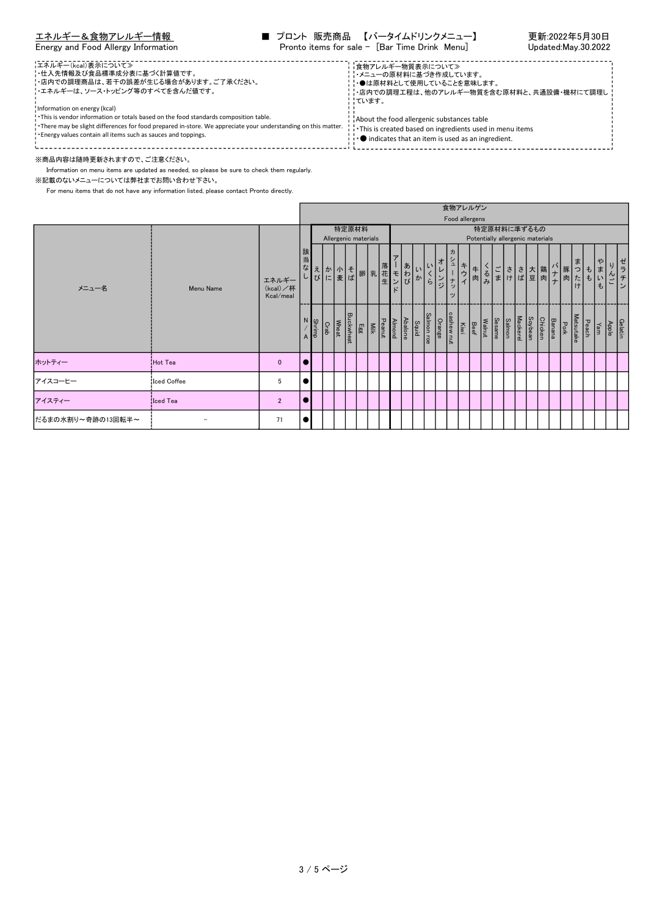## Energy and Food Allergy Information

| エネルギー&食物アレルギー情報                     | ■ プロント 販売商品 【バータイムドリンクメニュー】                   | 更新:2022年5月30日       |
|-------------------------------------|-----------------------------------------------|---------------------|
| Energy and Food Allergy Information | Pronto items for sale - [Bar Time Drink Menu] | Updated:May.30.2022 |

-----------------エネルギー(kcal)表示について≫ ・仕入先情報及び食品標準成分表に基づく計算値です。 食物アレルギー物質表示について≫ ・メニューの原材料に基づき作成しています。 ・店内での調理商品は、若干の誤差が生じる場合があります。ご了承ください。 ・●は原材料として使用していることを意味します。 ・エネルギーは、ソース・トッピング等のすべてを含んだ値です。 ・店内での調理工程は、他のアレルギー物質を含む原材料と、共通設備・機材にて調理し - ………<br>|ています。 Information on energy (kcal) ・This is vendor information or totals based on the food standards composition table. About the food allergenic substances table ・There may be slight differences for food prepared in-store. We appreciate your understanding on this matter. ・This is created based on ingredients used in menu items ・Energy values contain all items such as sauces and toppings. **. ●** indicates that an item is used as an ingredient. ※商品内容は随時更新されますので、ご注意ください。

Information on menu items are updated as needed, so please be sure to check them regularly.

※記載のないメニューについては弊社までお問い合わせ下さい。

|                   |             |                                |                |               |                                |       |                  |          |                          |                       |         |                     |                            |                           |                                           | 食物アレルゲン        |    |                          |               |                                  |         |         |                 |               |              |       |                      |       |                  |
|-------------------|-------------|--------------------------------|----------------|---------------|--------------------------------|-------|------------------|----------|--------------------------|-----------------------|---------|---------------------|----------------------------|---------------------------|-------------------------------------------|----------------|----|--------------------------|---------------|----------------------------------|---------|---------|-----------------|---------------|--------------|-------|----------------------|-------|------------------|
|                   |             |                                |                |               |                                |       |                  |          |                          |                       |         |                     |                            |                           |                                           | Food allergens |    |                          |               |                                  |         |         |                 |               |              |       |                      |       |                  |
|                   |             |                                |                |               |                                | 特定原材料 |                  |          |                          |                       |         |                     |                            |                           |                                           |                |    |                          |               | 特定原材料に準ずるもの                      |         |         |                 |               |              |       |                      |       |                  |
|                   |             |                                |                |               | Allergenic materials           |       |                  |          |                          |                       |         |                     |                            |                           |                                           |                |    |                          |               | Potentially allergenic materials |         |         |                 |               |              |       |                      |       |                  |
| メニュー名             | Menu Name   | エネルギー<br>(kcal)/杯<br>Kcal/meal | 当<br>な         |               | えか 小 そ 卵 乳<br>び に 麦 ぱ ア 乳<br>生 |       |                  |          |                          | $\overline{r}$<br>モンド | あわび     | か                   | い<br>$\tilde{\mathcal{b}}$ | 才<br>$\frac{2}{\sqrt{2}}$ | 力<br>$\mathfrak{a}$<br>しち<br>$\mathbf{v}$ | キウィ            | 牛肉 | $\frac{1}{2}$            |               | ご さ さ 大 鶏 <br> ま け ぱ 豆 肉         |         |         | ハナ   豚<br>ナ   肉 |               | ま<br>っ<br>たけ | ŧ     | ゃ<br>ま<br>$\pm$ .    |       | ゼ<br>ラ<br>チ<br>Σ |
|                   |             |                                | $\overline{A}$ | <b>Shrimp</b> | Wheat<br>Crab                  |       | <b>Buckwheat</b> | $E_{gg}$ | Almond<br>Peanut<br>Milk |                       | Abalone | Salmon roe<br>Squid |                            | cashew nut<br>Orange      |                                           | <b>Ki</b> si   |    | Sesame<br>Walnut<br>Beef | <b>Salmon</b> | <b>Mackerel</b>                  | Soybean | Chicken | Banana          | $\frac{P}{2}$ | Matsutake    | Peach | $\sqrt{\frac{1}{2}}$ | Apple | Gelatin          |
| ホットティー            | Hot Tea     | $\mathbf{0}$                   |                |               |                                |       |                  |          |                          |                       |         |                     |                            |                           |                                           |                |    |                          |               |                                  |         |         |                 |               |              |       |                      |       |                  |
| アイスコーヒー           | Iced Coffee | 5                              |                |               |                                |       |                  |          |                          |                       |         |                     |                            |                           |                                           |                |    |                          |               |                                  |         |         |                 |               |              |       |                      |       |                  |
| アイスティー            | Iced Tea    | $\overline{2}$                 |                |               |                                |       |                  |          |                          |                       |         |                     |                            |                           |                                           |                |    |                          |               |                                  |         |         |                 |               |              |       |                      |       |                  |
| だるまの水割り~奇跡の13回転半~ |             | 71                             |                |               |                                |       |                  |          |                          |                       |         |                     |                            |                           |                                           |                |    |                          |               |                                  |         |         |                 |               |              |       |                      |       |                  |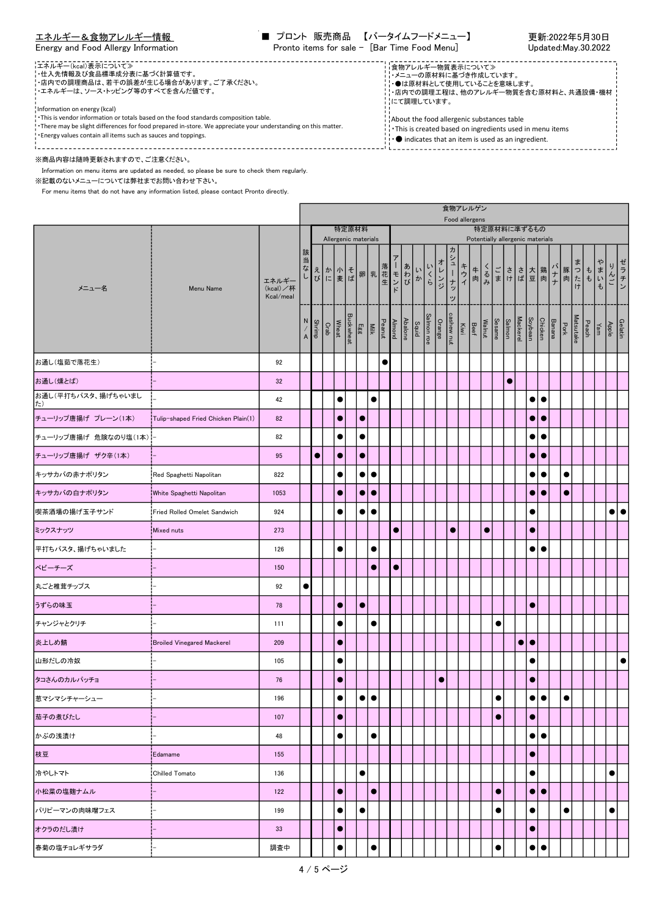| エネルギー&食物アレルギー情報                     | ■ プロント 販売商品 【バータイムフードメニュー】                   | 更新:2022年5月30日       |
|-------------------------------------|----------------------------------------------|---------------------|
| Energy and Food Allergy Information | Pronto items for sale - [Bar Time Food Menu] | Updated:May.30.2022 |

 $\triangle$ kh<sub>r</sub>  $\overline{z}$ 

٦

| ¦エネルギー(kcal)表示について≫                                                                                            | 自物アレルギー物質表示について≫                                                          |
|----------------------------------------------------------------------------------------------------------------|---------------------------------------------------------------------------|
| !・仕入先情報及び食品標準成分表に基づく計算値です。                                                                                     | ・メニューの原材料に基づき作成しています。                                                     |
| ・店内での調理商品は、若干の誤差が生じる場合があります。ご了承ください。                                                                           | ☆●は原材料として使用していることを意味します。                                                  |
| !エネルギーは、ソース・トッピング等のすべてを含んだ値です。                                                                                 | ・店内での調理工程は、他のアレルギー物質を含む原材料と、共通設備・機材 !                                     |
| Information on energy (kcal)                                                                                   | - にて調理しています。                                                              |
| . This is vendor information or totals based on the food standards composition table.                          | About the food allergenic substances table                                |
| . There may be slight differences for food prepared in-store. We appreciate your understanding on this matter. | This is created based on ingredients used in menu items                   |
| . Energy values contain all items such as sauces and toppings.                                                 | $\mathbf{I}^{\text{in}}$ indicates that an item is used as an ingredient. |

г

※商品内容は随時更新されますので、ご注意ください。

Information on menu items are updated as needed, so please be sure to check them regularly.

※記載のないメニューについては弊社までお問い合わせ下さい。

|                                  |                                     | 良物ノレルソン<br>Food allergens<br>特定原材料<br>特定原材料に準ずるもの |                             |           |  |           |  |                      |           |                                                                            |           |                |                               |     |           |                 |      |    |                                    |           |                 |           |                              |           |                             |           |     |                                                                                                                                              |           |
|----------------------------------|-------------------------------------|---------------------------------------------------|-----------------------------|-----------|--|-----------|--|----------------------|-----------|----------------------------------------------------------------------------|-----------|----------------|-------------------------------|-----|-----------|-----------------|------|----|------------------------------------|-----------|-----------------|-----------|------------------------------|-----------|-----------------------------|-----------|-----|----------------------------------------------------------------------------------------------------------------------------------------------|-----------|
|                                  |                                     |                                                   |                             |           |  |           |  | Allergenic materials |           |                                                                            |           |                |                               |     |           |                 |      |    | Potentially allergenic materials   |           |                 |           |                              |           |                             |           |     |                                                                                                                                              |           |
| メニュー名                            | Menu Name                           | エネルギー<br>(kcal)/杯<br>Kcal/meal                    | 該<br>当<br>なし                |           |  |           |  |                      |           | えかれ そ 卵 乳花 エンド しゅうしょう しゅうしゅう きょうしゅう きょうしゅう きょうしゅう きょうしゅう                   |           |                | あわびか                          | いくら | オレンジ      | ヵ<br>シューナッ<br>ッ | キウイ  | 牛肉 | くるみ                                |           | ごささ大 鶏<br>まけば豆肉 |           |                              |           | バナナ<br> <br> <br> <br> まったも |           | まいも | りんご                                                                                                                                          | ゼラチン      |
|                                  |                                     |                                                   | N<br>$\frac{7}{\mathsf{A}}$ |           |  |           |  |                      |           | Almond<br>Peanut<br>Egg<br>Buckwheat<br>Orab<br>Shrimp<br>Shrimp<br>Shrimp |           | <b>Abalone</b> | Orange<br>Salmon roe<br>Squid |     |           | cashew nut      | Kiwi |    | Salmon<br>Sesame<br>Walnut<br>Beef |           |                 | Mackerel  | Banana<br>Chicken<br>Soybean |           | Pork                        | Matsutake |     | $\begin{array}{c c}\n\text{Gelatin} & \text{Apple} \\ \hline\n\text{Apple} & \text{Pear} \\ \hline\n\text{Peach} & \text{Pear}\n\end{array}$ |           |
| お通し(塩茹で落花生)                      |                                     | 92                                                |                             |           |  |           |  |                      |           | $\bullet$                                                                  |           |                |                               |     |           |                 |      |    |                                    |           |                 |           |                              |           |                             |           |     |                                                                                                                                              |           |
| お通し(燻とば)                         |                                     | 32                                                |                             |           |  |           |  |                      |           |                                                                            |           |                |                               |     |           |                 |      |    |                                    |           | $\bullet$       |           |                              |           |                             |           |     |                                                                                                                                              |           |
| お通し(平打ちパスタ、揚げちゃいまし<br>$\uparrow$ |                                     | 42                                                |                             |           |  | $\bullet$ |  |                      | $\bullet$ |                                                                            |           |                |                               |     |           |                 |      |    |                                    |           |                 |           | $\bullet$                    | $\bullet$ |                             |           |     |                                                                                                                                              |           |
| チューリップ唐揚げ プレーン(1本)               | Tulip-shaped Fried Chicken Plain(1) | 82                                                |                             |           |  | $\bullet$ |  | $\bullet$            |           |                                                                            |           |                |                               |     |           |                 |      |    |                                    |           |                 |           | $\bullet$                    | $\bullet$ |                             |           |     |                                                                                                                                              |           |
| チューリップ唐揚げ 危険なのり塩(1本) -           |                                     | 82                                                |                             |           |  | $\bullet$ |  | $\bullet$            |           |                                                                            |           |                |                               |     |           |                 |      |    |                                    |           |                 |           | $\bullet$                    | $\bullet$ |                             |           |     |                                                                                                                                              |           |
| チューリップ唐揚げ ザク辛(1本)                |                                     | 95                                                |                             | $\bullet$ |  | $\bullet$ |  | $\bullet$            |           |                                                                            |           |                |                               |     |           |                 |      |    |                                    |           |                 |           | $\bullet$                    | $\bullet$ |                             |           |     |                                                                                                                                              |           |
| キッサカバの赤ナポリタン                     | Red Spaghetti Napolitan             | 822                                               |                             |           |  | $\bullet$ |  | $\bullet$            | $\bullet$ |                                                                            |           |                |                               |     |           |                 |      |    |                                    |           |                 |           | $\bullet$                    | $\bullet$ | $\bullet$                   |           |     |                                                                                                                                              |           |
| キッサカバの白ナポリタン                     | White Spaghetti Napolitan           | 1053                                              |                             |           |  |           |  | $\bullet$            | $\bullet$ |                                                                            |           |                |                               |     |           |                 |      |    |                                    |           |                 |           | $\bullet$                    | $\bullet$ | $\bullet$                   |           |     |                                                                                                                                              |           |
| 喫茶酒場の揚げ玉子サンド                     | Fried Rolled Omelet Sandwich        | 924                                               |                             |           |  |           |  | $\bullet$            | $\bullet$ |                                                                            |           |                |                               |     |           |                 |      |    |                                    |           |                 |           | $\bullet$                    |           |                             |           |     | $\bullet\vdash\bullet$                                                                                                                       |           |
| ミックスナッツ                          | Mixed nuts                          | 273                                               |                             |           |  |           |  |                      |           |                                                                            | $\bullet$ |                |                               |     |           | $\bullet$       |      |    | $\bullet$                          |           |                 |           | $\bullet$                    |           |                             |           |     |                                                                                                                                              |           |
| 平打ちパスタ、揚げちゃいました                  |                                     | 126                                               |                             |           |  |           |  |                      | $\bullet$ |                                                                            |           |                |                               |     |           |                 |      |    |                                    |           |                 |           | $\bullet$                    | $\bullet$ |                             |           |     |                                                                                                                                              |           |
| ベビーチーズ                           |                                     | 150                                               |                             |           |  |           |  |                      | $\bullet$ |                                                                            | $\bullet$ |                |                               |     |           |                 |      |    |                                    |           |                 |           |                              |           |                             |           |     |                                                                                                                                              |           |
| 丸ごと椎茸チップス                        |                                     | 92                                                | $\bullet$                   |           |  |           |  |                      |           |                                                                            |           |                |                               |     |           |                 |      |    |                                    |           |                 |           |                              |           |                             |           |     |                                                                                                                                              |           |
| うずらの味玉                           |                                     | 78                                                |                             |           |  | $\bullet$ |  | $\bullet$            |           |                                                                            |           |                |                               |     |           |                 |      |    |                                    |           |                 |           | $\bullet$                    |           |                             |           |     |                                                                                                                                              |           |
| チャンジャとクリチ                        |                                     | 111                                               |                             |           |  | $\bullet$ |  |                      | $\bullet$ |                                                                            |           |                |                               |     |           |                 |      |    |                                    | $\bullet$ |                 |           |                              |           |                             |           |     |                                                                                                                                              |           |
| 炎上しめ鯖                            | Broiled Vinegared Mackerel          | 209                                               |                             |           |  | $\bullet$ |  |                      |           |                                                                            |           |                |                               |     |           |                 |      |    |                                    |           |                 | $\bullet$ | $\bullet$                    |           |                             |           |     |                                                                                                                                              |           |
| 山形だしの冷奴                          |                                     | 105                                               |                             |           |  | $\bullet$ |  |                      |           |                                                                            |           |                |                               |     |           |                 |      |    |                                    |           |                 |           | $\bullet$                    |           |                             |           |     |                                                                                                                                              | $\bullet$ |
| タコさんのカルパッチョ                      |                                     | 76                                                |                             |           |  | $\bullet$ |  |                      |           |                                                                            |           |                |                               |     | $\bullet$ |                 |      |    |                                    |           |                 |           | $\bullet$                    |           |                             |           |     |                                                                                                                                              |           |
| 葱マシマシチャーシュー                      |                                     | 196                                               |                             |           |  | ▼         |  |                      |           |                                                                            |           |                |                               |     |           |                 |      |    |                                    |           |                 |           | $\bullet$                    |           |                             |           |     |                                                                                                                                              |           |
| 茄子の煮びたし                          |                                     | 107                                               |                             |           |  | $\bullet$ |  |                      |           |                                                                            |           |                |                               |     |           |                 |      |    |                                    | $\bullet$ |                 |           | $\bullet$                    |           |                             |           |     |                                                                                                                                              |           |
| かぶの浅漬け                           |                                     | 48                                                |                             |           |  | $\bullet$ |  |                      | $\bullet$ |                                                                            |           |                |                               |     |           |                 |      |    |                                    |           |                 |           | $\bullet\bullet$             |           |                             |           |     |                                                                                                                                              |           |
| 枝豆                               | Edamame                             | 155                                               |                             |           |  |           |  |                      |           |                                                                            |           |                |                               |     |           |                 |      |    |                                    |           |                 |           | $\bullet$                    |           |                             |           |     |                                                                                                                                              |           |
| 冷やしトマト                           | Chilled Tomato                      | 136                                               |                             |           |  |           |  | $\bullet$            |           |                                                                            |           |                |                               |     |           |                 |      |    |                                    |           |                 |           | $\bullet$                    |           |                             |           |     | $\bullet$                                                                                                                                    |           |
| 小松菜の塩麹ナムル                        |                                     | 122                                               |                             |           |  | $\bullet$ |  |                      | $\bullet$ |                                                                            |           |                |                               |     |           |                 |      |    |                                    | $\bullet$ |                 |           | $\bullet\bullet$             |           |                             |           |     |                                                                                                                                              |           |
| パリピーマンの肉味噌フェス                    |                                     | 199                                               |                             |           |  | $\bullet$ |  | $\bullet$            |           |                                                                            |           |                |                               |     |           |                 |      |    |                                    | $\bullet$ |                 |           | $\bullet$                    |           | $\bullet$                   |           |     | $\bullet$                                                                                                                                    |           |
| オクラのだし漬け                         |                                     | 33                                                |                             |           |  | ۰         |  |                      |           |                                                                            |           |                |                               |     |           |                 |      |    |                                    |           |                 |           | $\bullet$                    |           |                             |           |     |                                                                                                                                              |           |
| 春菊の塩チョレギサラダ                      |                                     | 調査中                                               |                             |           |  | $\bullet$ |  |                      | $\bullet$ |                                                                            |           |                |                               |     |           |                 |      |    |                                    | $\bullet$ |                 |           | $\bullet$                    | $\bullet$ |                             |           |     |                                                                                                                                              |           |